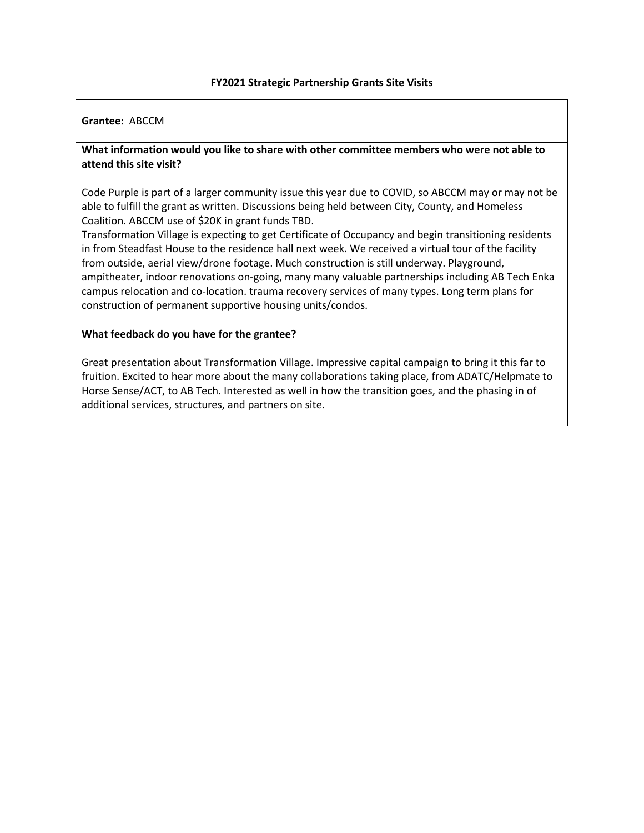# **Grantee:** ABCCM

# **What information would you like to share with other committee members who were not able to attend this site visit?**

Code Purple is part of a larger community issue this year due to COVID, so ABCCM may or may not be able to fulfill the grant as written. Discussions being held between City, County, and Homeless Coalition. ABCCM use of \$20K in grant funds TBD.

Transformation Village is expecting to get Certificate of Occupancy and begin transitioning residents in from Steadfast House to the residence hall next week. We received a virtual tour of the facility from outside, aerial view/drone footage. Much construction is still underway. Playground, ampitheater, indoor renovations on-going, many many valuable partnerships including AB Tech Enka campus relocation and co-location. trauma recovery services of many types. Long term plans for construction of permanent supportive housing units/condos.

#### **What feedback do you have for the grantee?**

Great presentation about Transformation Village. Impressive capital campaign to bring it this far to fruition. Excited to hear more about the many collaborations taking place, from ADATC/Helpmate to Horse Sense/ACT, to AB Tech. Interested as well in how the transition goes, and the phasing in of additional services, structures, and partners on site.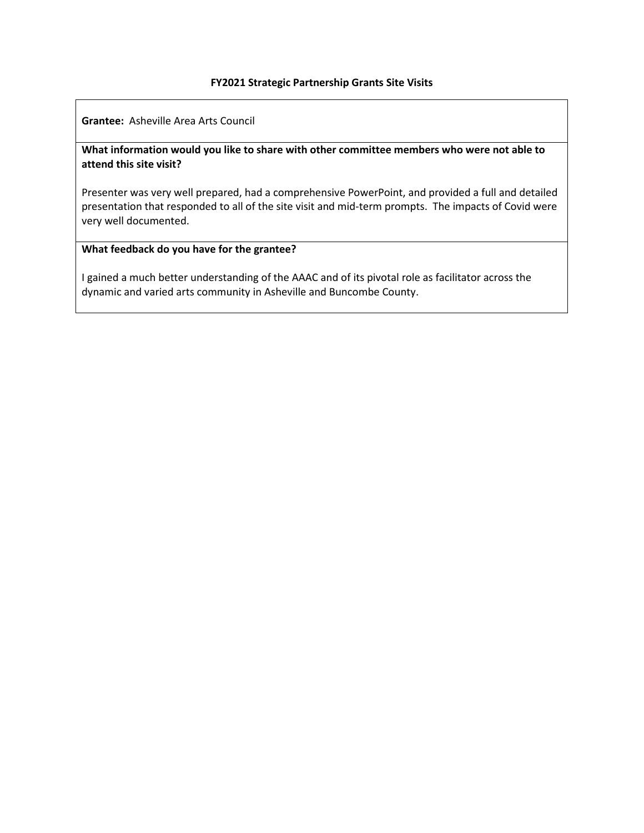**Grantee:** Asheville Area Arts Council

# **What information would you like to share with other committee members who were not able to attend this site visit?**

Presenter was very well prepared, had a comprehensive PowerPoint, and provided a full and detailed presentation that responded to all of the site visit and mid-term prompts. The impacts of Covid were very well documented.

# **What feedback do you have for the grantee?**

I gained a much better understanding of the AAAC and of its pivotal role as facilitator across the dynamic and varied arts community in Asheville and Buncombe County.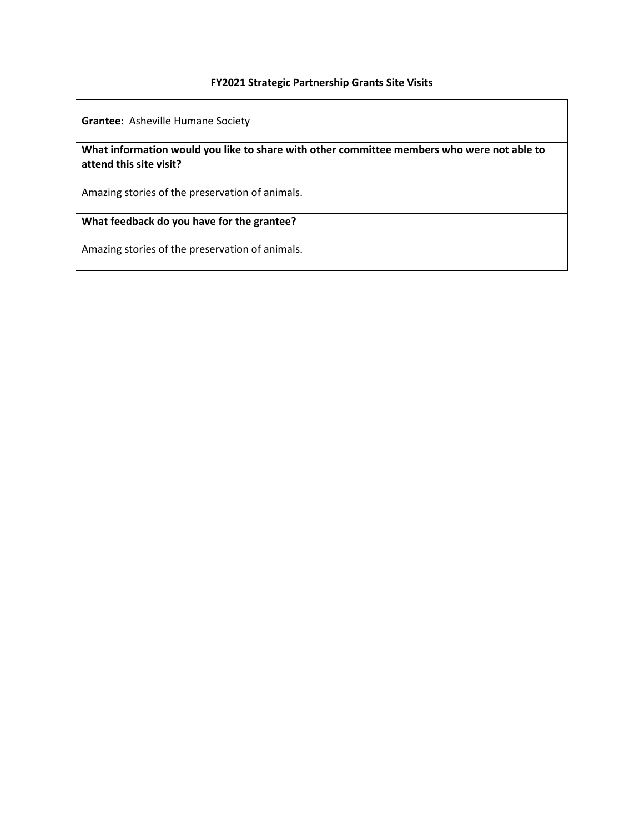**Grantee:** Asheville Humane Society

**What information would you like to share with other committee members who were not able to attend this site visit?**

Amazing stories of the preservation of animals.

**What feedback do you have for the grantee?**

Amazing stories of the preservation of animals.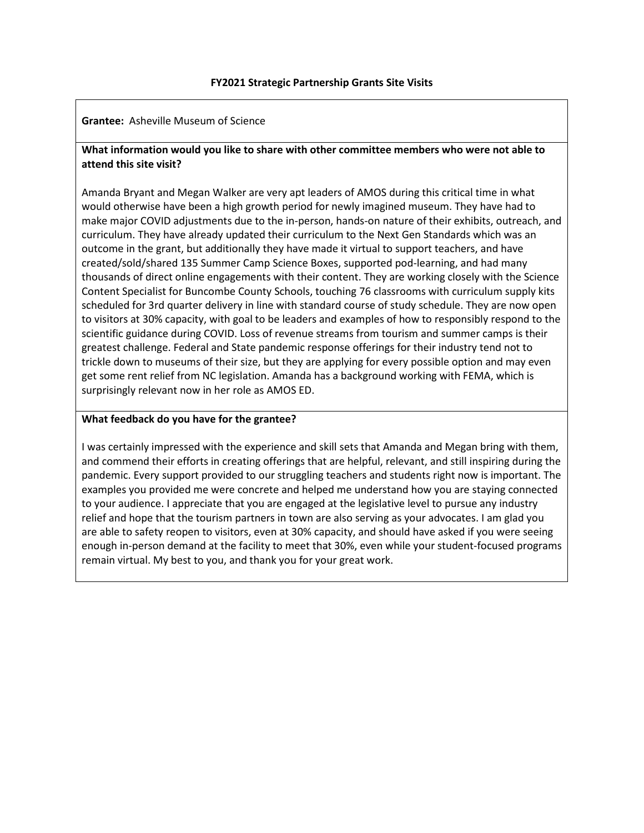**Grantee:** Asheville Museum of Science

# **What information would you like to share with other committee members who were not able to attend this site visit?**

Amanda Bryant and Megan Walker are very apt leaders of AMOS during this critical time in what would otherwise have been a high growth period for newly imagined museum. They have had to make major COVID adjustments due to the in-person, hands-on nature of their exhibits, outreach, and curriculum. They have already updated their curriculum to the Next Gen Standards which was an outcome in the grant, but additionally they have made it virtual to support teachers, and have created/sold/shared 135 Summer Camp Science Boxes, supported pod-learning, and had many thousands of direct online engagements with their content. They are working closely with the Science Content Specialist for Buncombe County Schools, touching 76 classrooms with curriculum supply kits scheduled for 3rd quarter delivery in line with standard course of study schedule. They are now open to visitors at 30% capacity, with goal to be leaders and examples of how to responsibly respond to the scientific guidance during COVID. Loss of revenue streams from tourism and summer camps is their greatest challenge. Federal and State pandemic response offerings for their industry tend not to trickle down to museums of their size, but they are applying for every possible option and may even get some rent relief from NC legislation. Amanda has a background working with FEMA, which is surprisingly relevant now in her role as AMOS ED.

# **What feedback do you have for the grantee?**

I was certainly impressed with the experience and skill sets that Amanda and Megan bring with them, and commend their efforts in creating offerings that are helpful, relevant, and still inspiring during the pandemic. Every support provided to our struggling teachers and students right now is important. The examples you provided me were concrete and helped me understand how you are staying connected to your audience. I appreciate that you are engaged at the legislative level to pursue any industry relief and hope that the tourism partners in town are also serving as your advocates. I am glad you are able to safety reopen to visitors, even at 30% capacity, and should have asked if you were seeing enough in-person demand at the facility to meet that 30%, even while your student-focused programs remain virtual. My best to you, and thank you for your great work.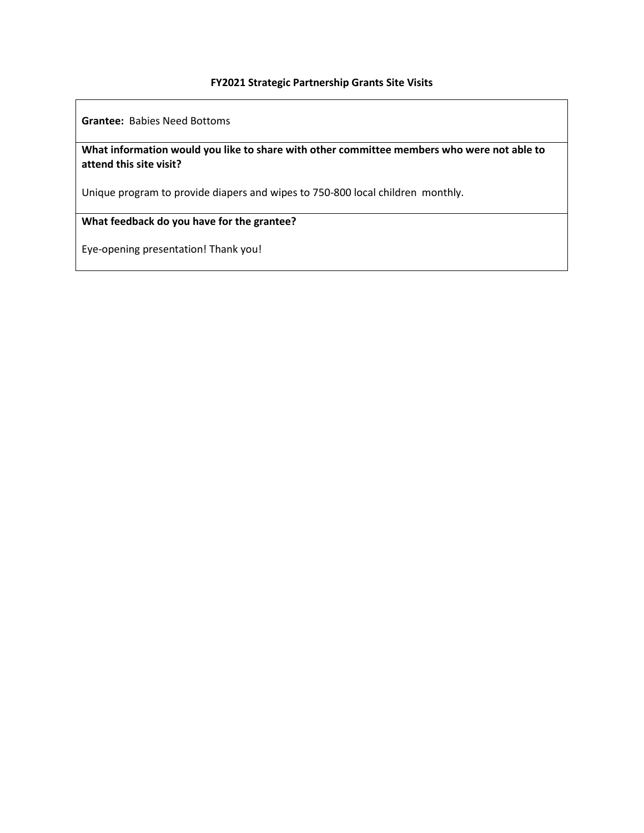**Grantee:** Babies Need Bottoms

# **What information would you like to share with other committee members who were not able to attend this site visit?**

Unique program to provide diapers and wipes to 750-800 local children monthly.

# **What feedback do you have for the grantee?**

Eye-opening presentation! Thank you!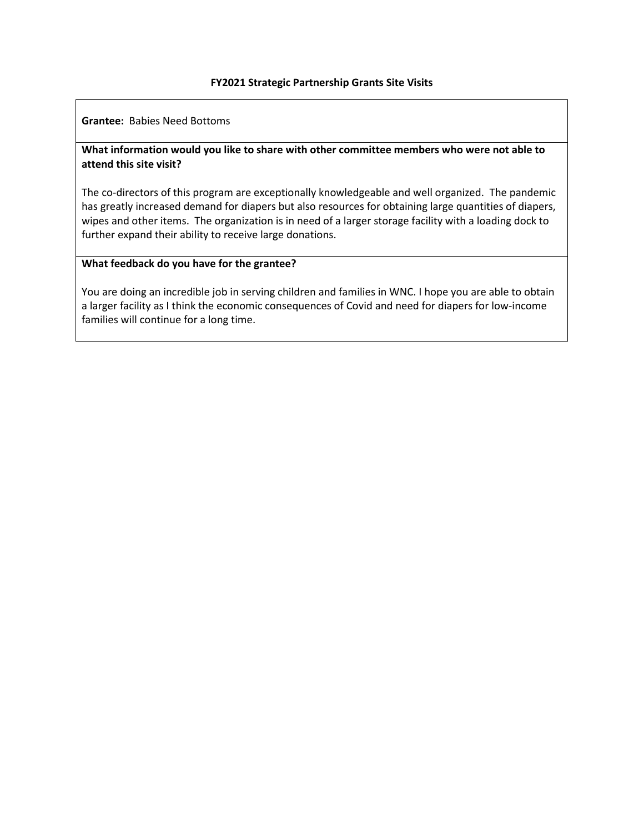**Grantee:** Babies Need Bottoms

# **What information would you like to share with other committee members who were not able to attend this site visit?**

The co-directors of this program are exceptionally knowledgeable and well organized. The pandemic has greatly increased demand for diapers but also resources for obtaining large quantities of diapers, wipes and other items. The organization is in need of a larger storage facility with a loading dock to further expand their ability to receive large donations.

### **What feedback do you have for the grantee?**

You are doing an incredible job in serving children and families in WNC. I hope you are able to obtain a larger facility as I think the economic consequences of Covid and need for diapers for low-income families will continue for a long time.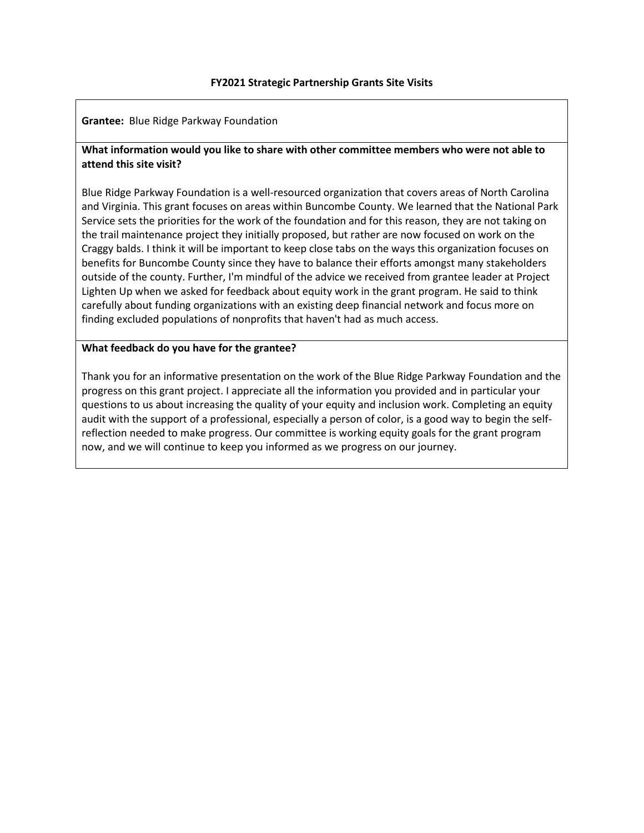**Grantee:** Blue Ridge Parkway Foundation

# **What information would you like to share with other committee members who were not able to attend this site visit?**

Blue Ridge Parkway Foundation is a well-resourced organization that covers areas of North Carolina and Virginia. This grant focuses on areas within Buncombe County. We learned that the National Park Service sets the priorities for the work of the foundation and for this reason, they are not taking on the trail maintenance project they initially proposed, but rather are now focused on work on the Craggy balds. I think it will be important to keep close tabs on the ways this organization focuses on benefits for Buncombe County since they have to balance their efforts amongst many stakeholders outside of the county. Further, I'm mindful of the advice we received from grantee leader at Project Lighten Up when we asked for feedback about equity work in the grant program. He said to think carefully about funding organizations with an existing deep financial network and focus more on finding excluded populations of nonprofits that haven't had as much access.

# **What feedback do you have for the grantee?**

Thank you for an informative presentation on the work of the Blue Ridge Parkway Foundation and the progress on this grant project. I appreciate all the information you provided and in particular your questions to us about increasing the quality of your equity and inclusion work. Completing an equity audit with the support of a professional, especially a person of color, is a good way to begin the selfreflection needed to make progress. Our committee is working equity goals for the grant program now, and we will continue to keep you informed as we progress on our journey.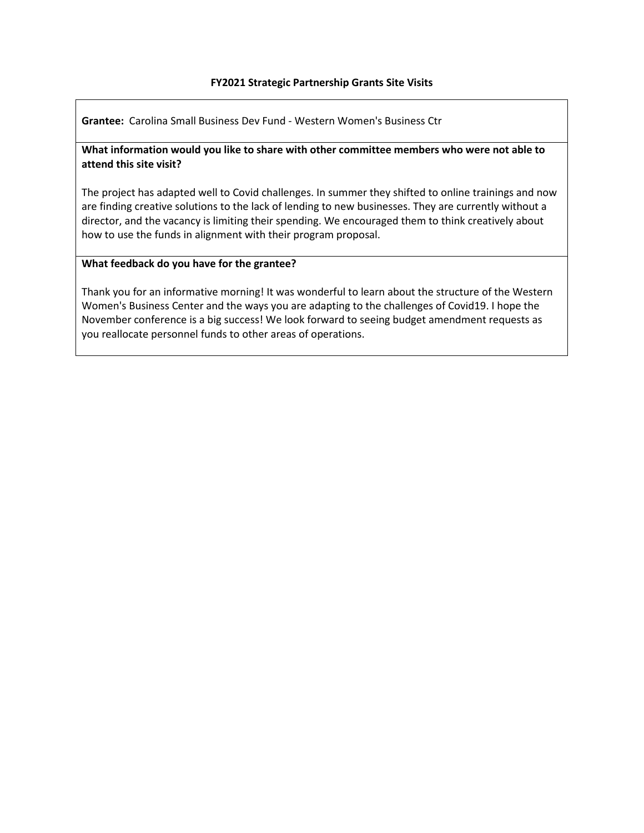**Grantee:** Carolina Small Business Dev Fund - Western Women's Business Ctr

# **What information would you like to share with other committee members who were not able to attend this site visit?**

The project has adapted well to Covid challenges. In summer they shifted to online trainings and now are finding creative solutions to the lack of lending to new businesses. They are currently without a director, and the vacancy is limiting their spending. We encouraged them to think creatively about how to use the funds in alignment with their program proposal.

# **What feedback do you have for the grantee?**

Thank you for an informative morning! It was wonderful to learn about the structure of the Western Women's Business Center and the ways you are adapting to the challenges of Covid19. I hope the November conference is a big success! We look forward to seeing budget amendment requests as you reallocate personnel funds to other areas of operations.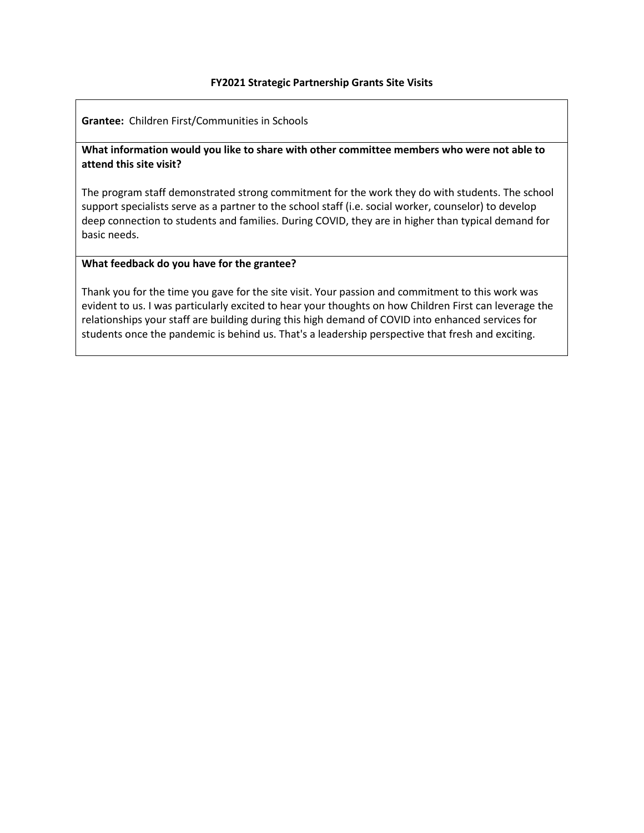**Grantee:** Children First/Communities in Schools

# **What information would you like to share with other committee members who were not able to attend this site visit?**

The program staff demonstrated strong commitment for the work they do with students. The school support specialists serve as a partner to the school staff (i.e. social worker, counselor) to develop deep connection to students and families. During COVID, they are in higher than typical demand for basic needs.

# **What feedback do you have for the grantee?**

Thank you for the time you gave for the site visit. Your passion and commitment to this work was evident to us. I was particularly excited to hear your thoughts on how Children First can leverage the relationships your staff are building during this high demand of COVID into enhanced services for students once the pandemic is behind us. That's a leadership perspective that fresh and exciting.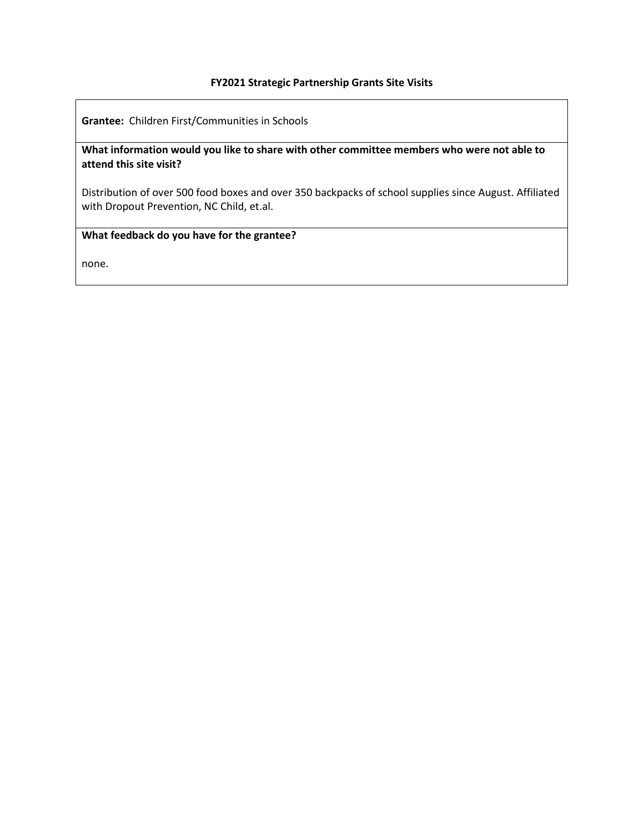**Grantee:** Children First/Communities in Schools

**What information would you like to share with other committee members who were not able to attend this site visit?**

Distribution of over 500 food boxes and over 350 backpacks of school supplies since August. Affiliated with Dropout Prevention, NC Child, et.al.

# **What feedback do you have for the grantee?**

none.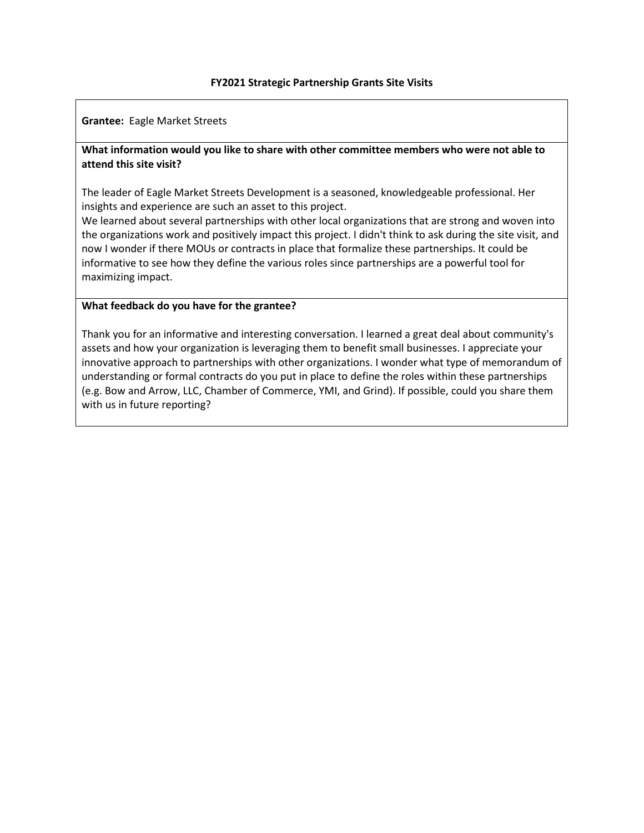**Grantee:** Eagle Market Streets

# **What information would you like to share with other committee members who were not able to attend this site visit?**

The leader of Eagle Market Streets Development is a seasoned, knowledgeable professional. Her insights and experience are such an asset to this project.

We learned about several partnerships with other local organizations that are strong and woven into the organizations work and positively impact this project. I didn't think to ask during the site visit, and now I wonder if there MOUs or contracts in place that formalize these partnerships. It could be informative to see how they define the various roles since partnerships are a powerful tool for maximizing impact.

# **What feedback do you have for the grantee?**

Thank you for an informative and interesting conversation. I learned a great deal about community's assets and how your organization is leveraging them to benefit small businesses. I appreciate your innovative approach to partnerships with other organizations. I wonder what type of memorandum of understanding or formal contracts do you put in place to define the roles within these partnerships (e.g. Bow and Arrow, LLC, Chamber of Commerce, YMI, and Grind). If possible, could you share them with us in future reporting?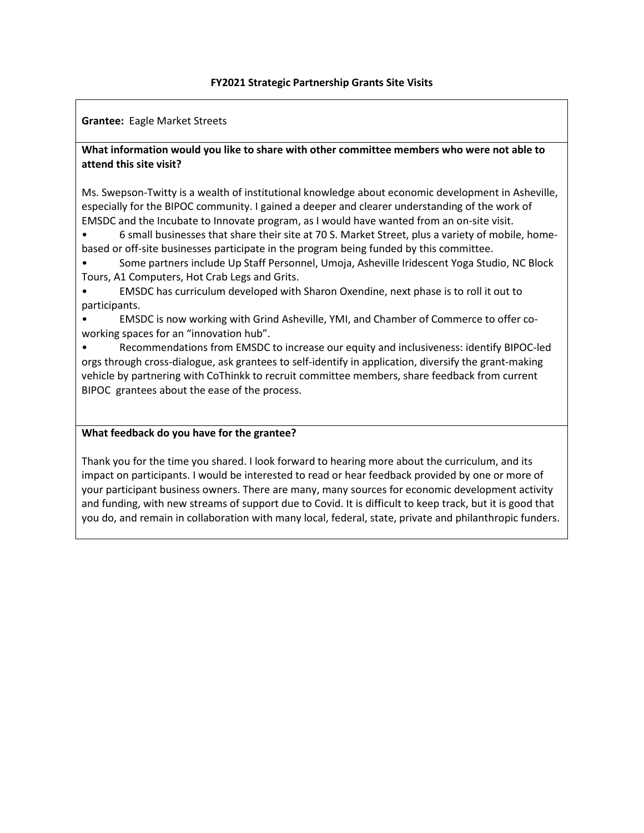**Grantee:** Eagle Market Streets

# **What information would you like to share with other committee members who were not able to attend this site visit?**

Ms. Swepson-Twitty is a wealth of institutional knowledge about economic development in Asheville, especially for the BIPOC community. I gained a deeper and clearer understanding of the work of EMSDC and the Incubate to Innovate program, as I would have wanted from an on-site visit.

• 6 small businesses that share their site at 70 S. Market Street, plus a variety of mobile, homebased or off-site businesses participate in the program being funded by this committee.

• Some partners include Up Staff Personnel, Umoja, Asheville Iridescent Yoga Studio, NC Block Tours, A1 Computers, Hot Crab Legs and Grits.

• EMSDC has curriculum developed with Sharon Oxendine, next phase is to roll it out to participants.

• EMSDC is now working with Grind Asheville, YMI, and Chamber of Commerce to offer coworking spaces for an "innovation hub".

• Recommendations from EMSDC to increase our equity and inclusiveness: identify BIPOC-led orgs through cross-dialogue, ask grantees to self-identify in application, diversify the grant-making vehicle by partnering with CoThinkk to recruit committee members, share feedback from current BIPOC grantees about the ease of the process.

# **What feedback do you have for the grantee?**

Thank you for the time you shared. I look forward to hearing more about the curriculum, and its impact on participants. I would be interested to read or hear feedback provided by one or more of your participant business owners. There are many, many sources for economic development activity and funding, with new streams of support due to Covid. It is difficult to keep track, but it is good that you do, and remain in collaboration with many local, federal, state, private and philanthropic funders.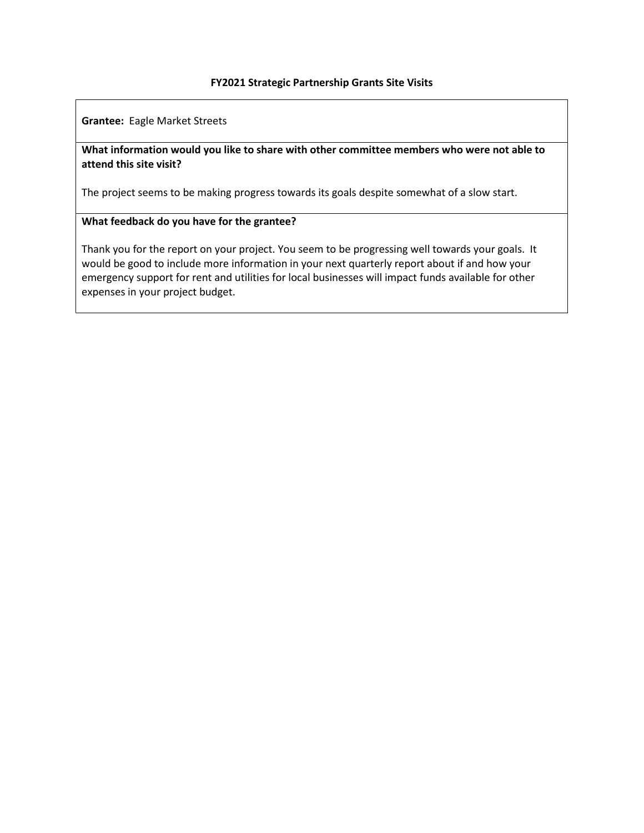**Grantee:** Eagle Market Streets

# **What information would you like to share with other committee members who were not able to attend this site visit?**

The project seems to be making progress towards its goals despite somewhat of a slow start.

# **What feedback do you have for the grantee?**

Thank you for the report on your project. You seem to be progressing well towards your goals. It would be good to include more information in your next quarterly report about if and how your emergency support for rent and utilities for local businesses will impact funds available for other expenses in your project budget.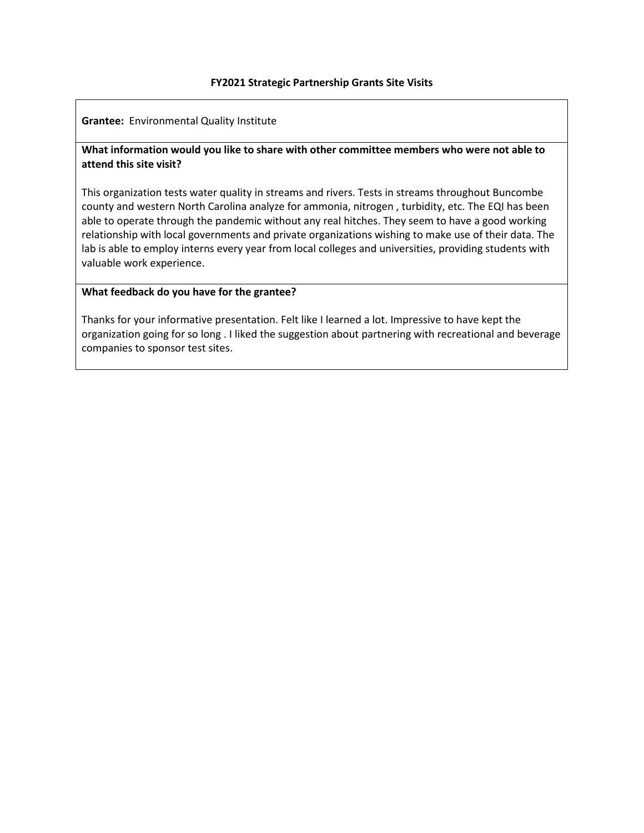**Grantee:** Environmental Quality Institute

# **What information would you like to share with other committee members who were not able to attend this site visit?**

This organization tests water quality in streams and rivers. Tests in streams throughout Buncombe county and western North Carolina analyze for ammonia, nitrogen , turbidity, etc. The EQI has been able to operate through the pandemic without any real hitches. They seem to have a good working relationship with local governments and private organizations wishing to make use of their data. The lab is able to employ interns every year from local colleges and universities, providing students with valuable work experience.

# **What feedback do you have for the grantee?**

Thanks for your informative presentation. Felt like I learned a lot. Impressive to have kept the organization going for so long . I liked the suggestion about partnering with recreational and beverage companies to sponsor test sites.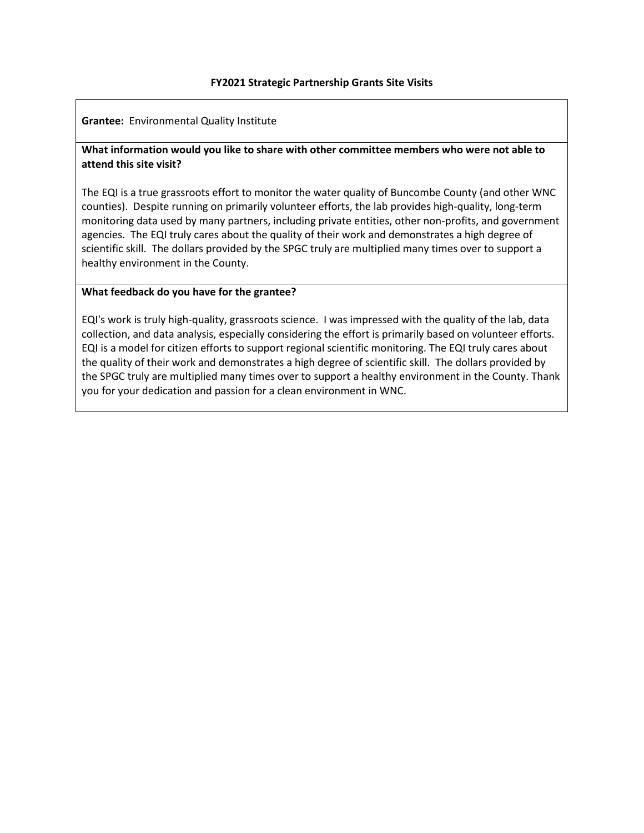**Grantee:** Environmental Quality Institute

# **What information would you like to share with other committee members who were not able to attend this site visit?**

The EQI is a true grassroots effort to monitor the water quality of Buncombe County (and other WNC counties). Despite running on primarily volunteer efforts, the lab provides high-quality, long-term monitoring data used by many partners, including private entities, other non-profits, and government agencies. The EQI truly cares about the quality of their work and demonstrates a high degree of scientific skill. The dollars provided by the SPGC truly are multiplied many times over to support a healthy environment in the County.

# **What feedback do you have for the grantee?**

EQI's work is truly high-quality, grassroots science. I was impressed with the quality of the lab, data collection, and data analysis, especially considering the effort is primarily based on volunteer efforts. EQI is a model for citizen efforts to support regional scientific monitoring. The EQI truly cares about the quality of their work and demonstrates a high degree of scientific skill. The dollars provided by the SPGC truly are multiplied many times over to support a healthy environment in the County. Thank you for your dedication and passion for a clean environment in WNC.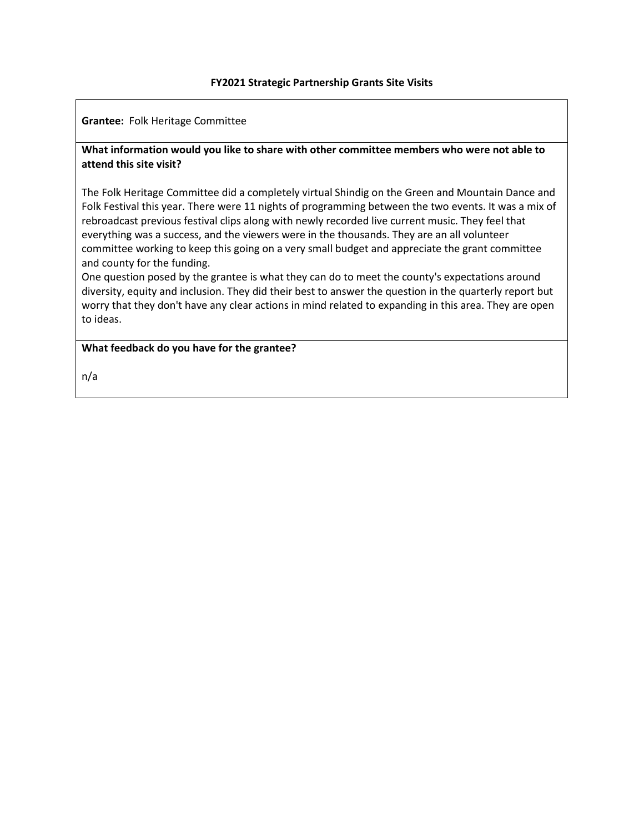**Grantee:** Folk Heritage Committee

# **What information would you like to share with other committee members who were not able to attend this site visit?**

The Folk Heritage Committee did a completely virtual Shindig on the Green and Mountain Dance and Folk Festival this year. There were 11 nights of programming between the two events. It was a mix of rebroadcast previous festival clips along with newly recorded live current music. They feel that everything was a success, and the viewers were in the thousands. They are an all volunteer committee working to keep this going on a very small budget and appreciate the grant committee and county for the funding.

One question posed by the grantee is what they can do to meet the county's expectations around diversity, equity and inclusion. They did their best to answer the question in the quarterly report but worry that they don't have any clear actions in mind related to expanding in this area. They are open to ideas.

**What feedback do you have for the grantee?**

n/a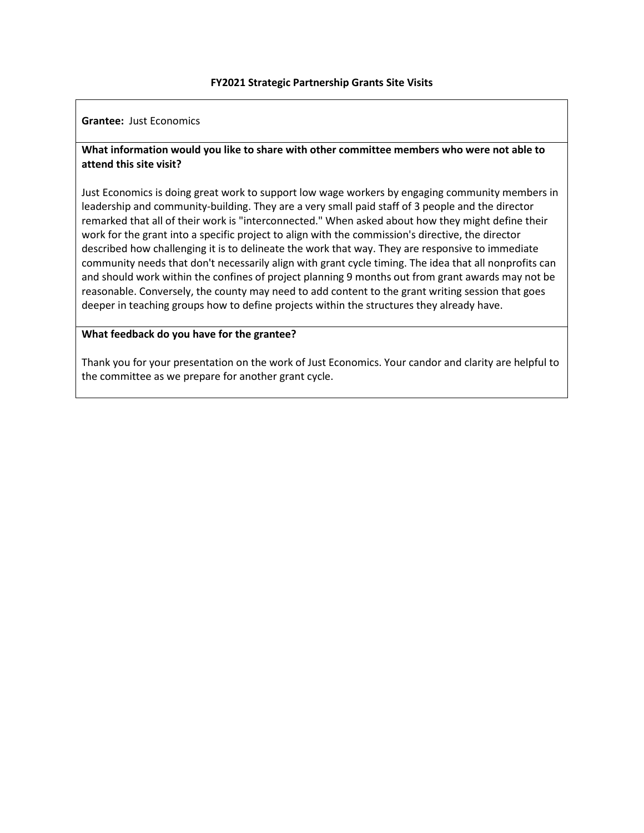**Grantee:** Just Economics

# **What information would you like to share with other committee members who were not able to attend this site visit?**

Just Economics is doing great work to support low wage workers by engaging community members in leadership and community-building. They are a very small paid staff of 3 people and the director remarked that all of their work is "interconnected." When asked about how they might define their work for the grant into a specific project to align with the commission's directive, the director described how challenging it is to delineate the work that way. They are responsive to immediate community needs that don't necessarily align with grant cycle timing. The idea that all nonprofits can and should work within the confines of project planning 9 months out from grant awards may not be reasonable. Conversely, the county may need to add content to the grant writing session that goes deeper in teaching groups how to define projects within the structures they already have.

### **What feedback do you have for the grantee?**

Thank you for your presentation on the work of Just Economics. Your candor and clarity are helpful to the committee as we prepare for another grant cycle.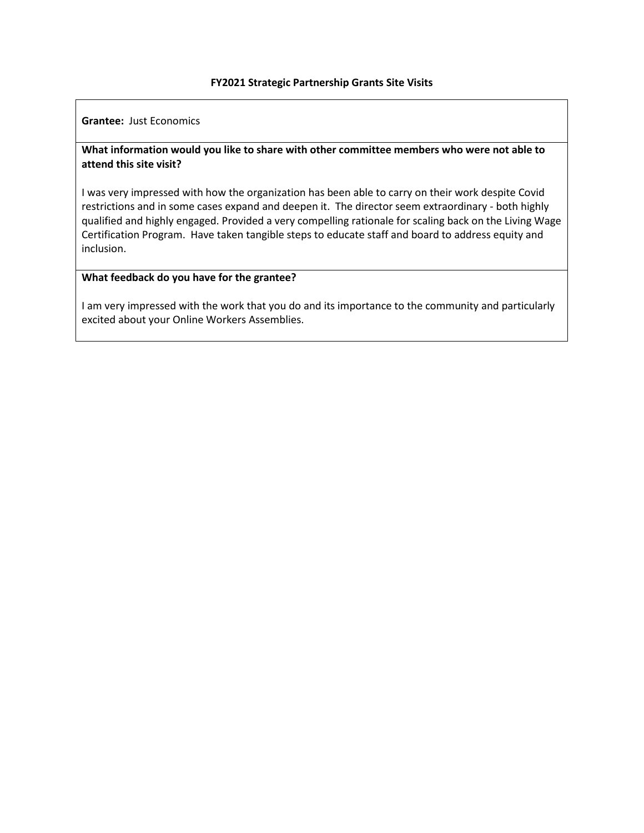**Grantee:** Just Economics

# **What information would you like to share with other committee members who were not able to attend this site visit?**

I was very impressed with how the organization has been able to carry on their work despite Covid restrictions and in some cases expand and deepen it. The director seem extraordinary - both highly qualified and highly engaged. Provided a very compelling rationale for scaling back on the Living Wage Certification Program. Have taken tangible steps to educate staff and board to address equity and inclusion.

### **What feedback do you have for the grantee?**

I am very impressed with the work that you do and its importance to the community and particularly excited about your Online Workers Assemblies.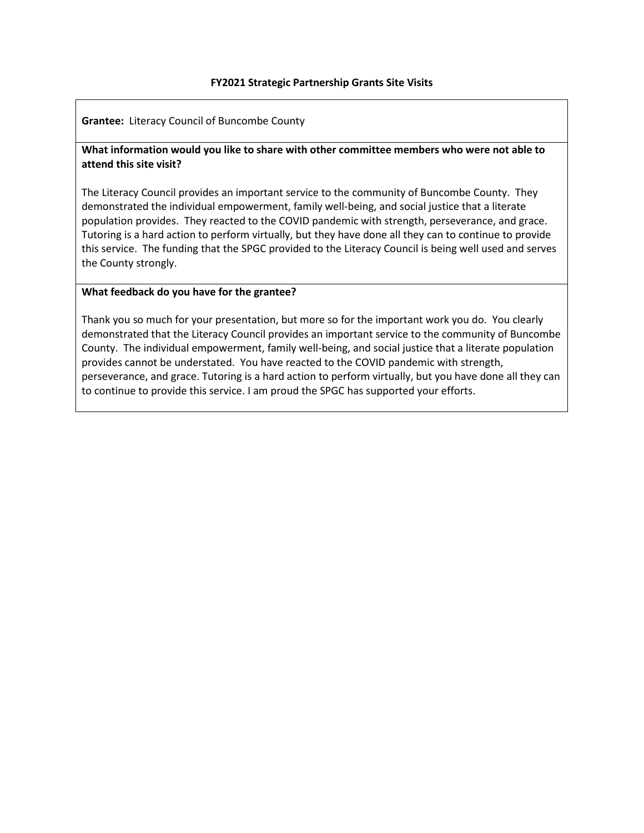**Grantee:** Literacy Council of Buncombe County

# **What information would you like to share with other committee members who were not able to attend this site visit?**

The Literacy Council provides an important service to the community of Buncombe County. They demonstrated the individual empowerment, family well-being, and social justice that a literate population provides. They reacted to the COVID pandemic with strength, perseverance, and grace. Tutoring is a hard action to perform virtually, but they have done all they can to continue to provide this service. The funding that the SPGC provided to the Literacy Council is being well used and serves the County strongly.

# **What feedback do you have for the grantee?**

Thank you so much for your presentation, but more so for the important work you do. You clearly demonstrated that the Literacy Council provides an important service to the community of Buncombe County. The individual empowerment, family well-being, and social justice that a literate population provides cannot be understated. You have reacted to the COVID pandemic with strength, perseverance, and grace. Tutoring is a hard action to perform virtually, but you have done all they can to continue to provide this service. I am proud the SPGC has supported your efforts.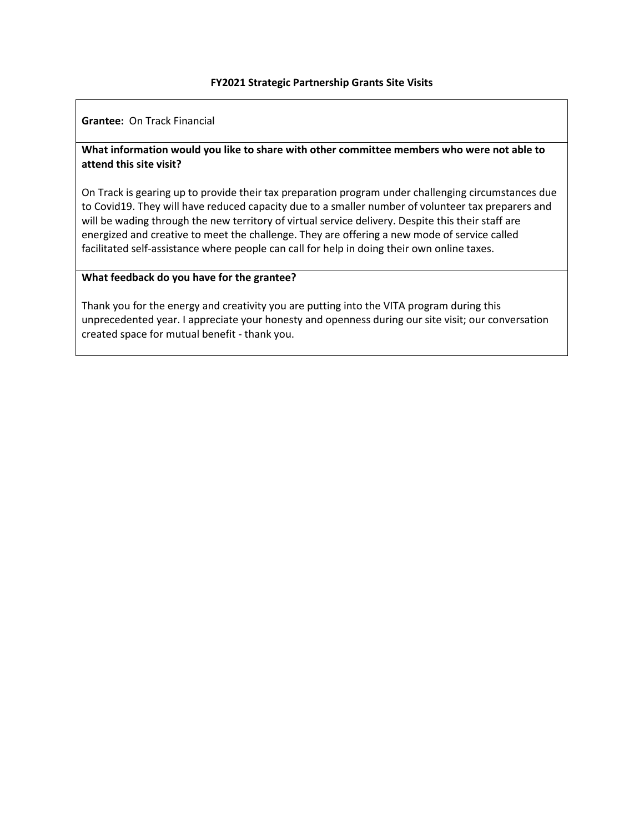**Grantee:** On Track Financial

# **What information would you like to share with other committee members who were not able to attend this site visit?**

On Track is gearing up to provide their tax preparation program under challenging circumstances due to Covid19. They will have reduced capacity due to a smaller number of volunteer tax preparers and will be wading through the new territory of virtual service delivery. Despite this their staff are energized and creative to meet the challenge. They are offering a new mode of service called facilitated self-assistance where people can call for help in doing their own online taxes.

### **What feedback do you have for the grantee?**

Thank you for the energy and creativity you are putting into the VITA program during this unprecedented year. I appreciate your honesty and openness during our site visit; our conversation created space for mutual benefit - thank you.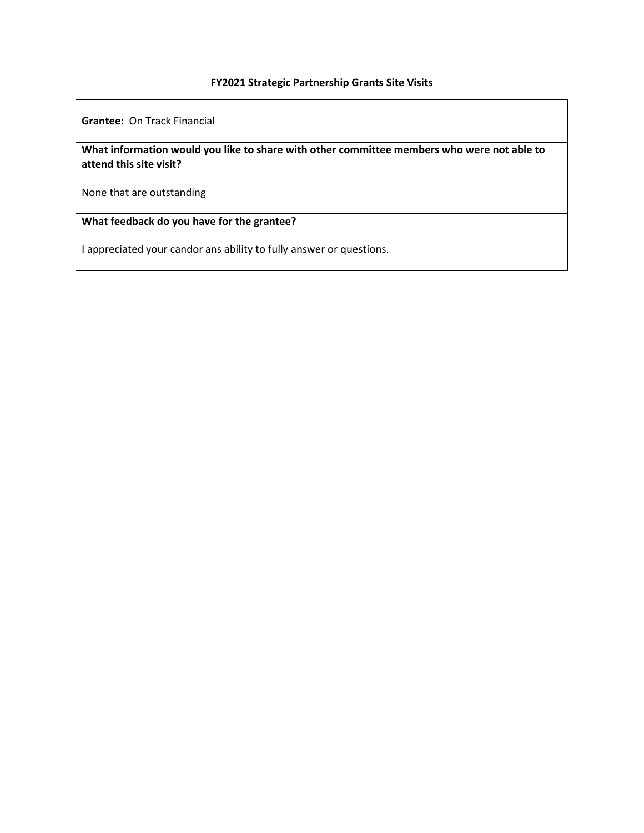**Grantee:** On Track Financial

**What information would you like to share with other committee members who were not able to attend this site visit?**

None that are outstanding

**What feedback do you have for the grantee?**

I appreciated your candor ans ability to fully answer or questions.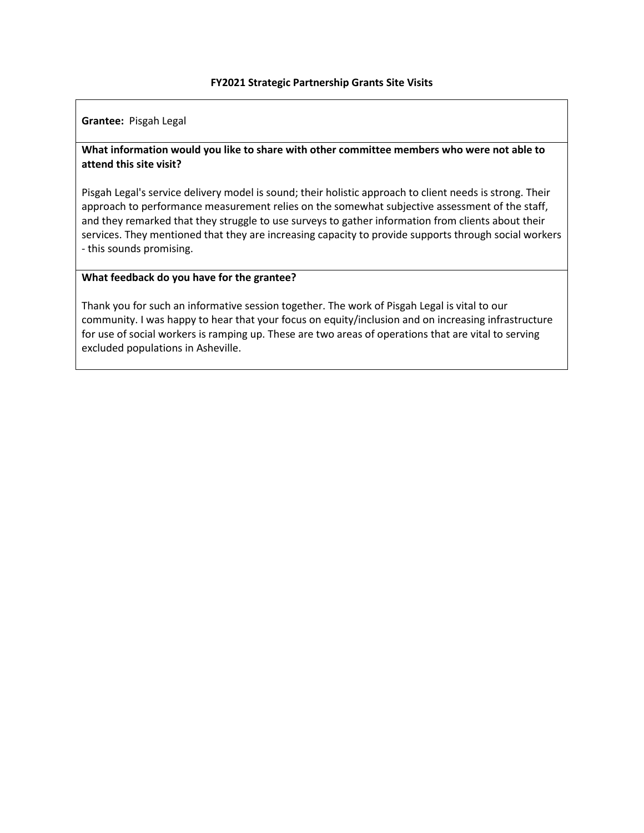**Grantee:** Pisgah Legal

# **What information would you like to share with other committee members who were not able to attend this site visit?**

Pisgah Legal's service delivery model is sound; their holistic approach to client needs is strong. Their approach to performance measurement relies on the somewhat subjective assessment of the staff, and they remarked that they struggle to use surveys to gather information from clients about their services. They mentioned that they are increasing capacity to provide supports through social workers - this sounds promising.

### **What feedback do you have for the grantee?**

Thank you for such an informative session together. The work of Pisgah Legal is vital to our community. I was happy to hear that your focus on equity/inclusion and on increasing infrastructure for use of social workers is ramping up. These are two areas of operations that are vital to serving excluded populations in Asheville.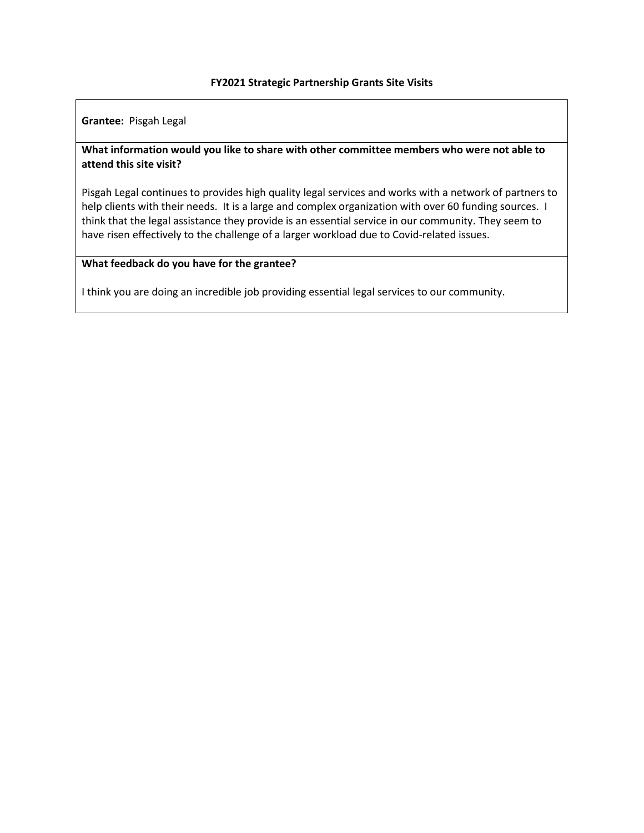**Grantee:** Pisgah Legal

# **What information would you like to share with other committee members who were not able to attend this site visit?**

Pisgah Legal continues to provides high quality legal services and works with a network of partners to help clients with their needs. It is a large and complex organization with over 60 funding sources. I think that the legal assistance they provide is an essential service in our community. They seem to have risen effectively to the challenge of a larger workload due to Covid-related issues.

### **What feedback do you have for the grantee?**

I think you are doing an incredible job providing essential legal services to our community.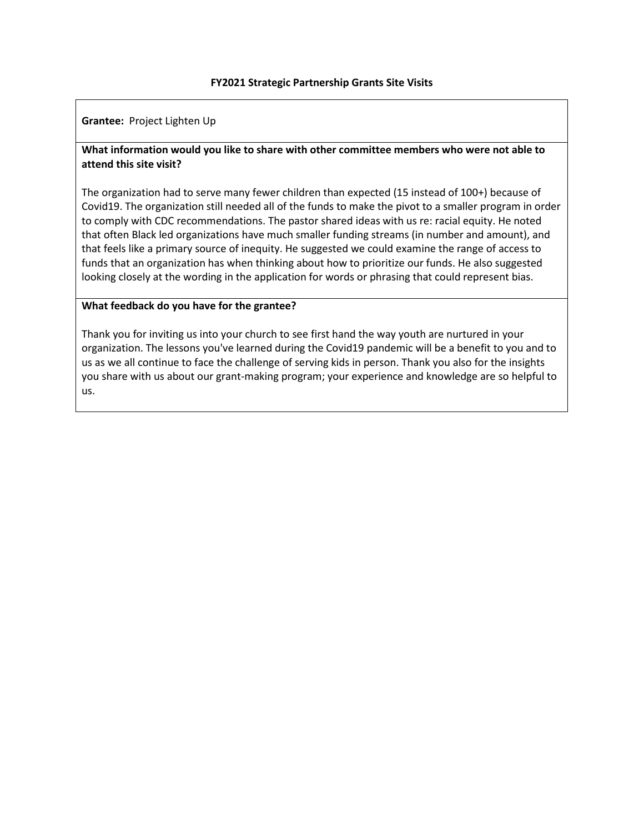**Grantee:** Project Lighten Up

# **What information would you like to share with other committee members who were not able to attend this site visit?**

The organization had to serve many fewer children than expected (15 instead of 100+) because of Covid19. The organization still needed all of the funds to make the pivot to a smaller program in order to comply with CDC recommendations. The pastor shared ideas with us re: racial equity. He noted that often Black led organizations have much smaller funding streams (in number and amount), and that feels like a primary source of inequity. He suggested we could examine the range of access to funds that an organization has when thinking about how to prioritize our funds. He also suggested looking closely at the wording in the application for words or phrasing that could represent bias.

### **What feedback do you have for the grantee?**

Thank you for inviting us into your church to see first hand the way youth are nurtured in your organization. The lessons you've learned during the Covid19 pandemic will be a benefit to you and to us as we all continue to face the challenge of serving kids in person. Thank you also for the insights you share with us about our grant-making program; your experience and knowledge are so helpful to us.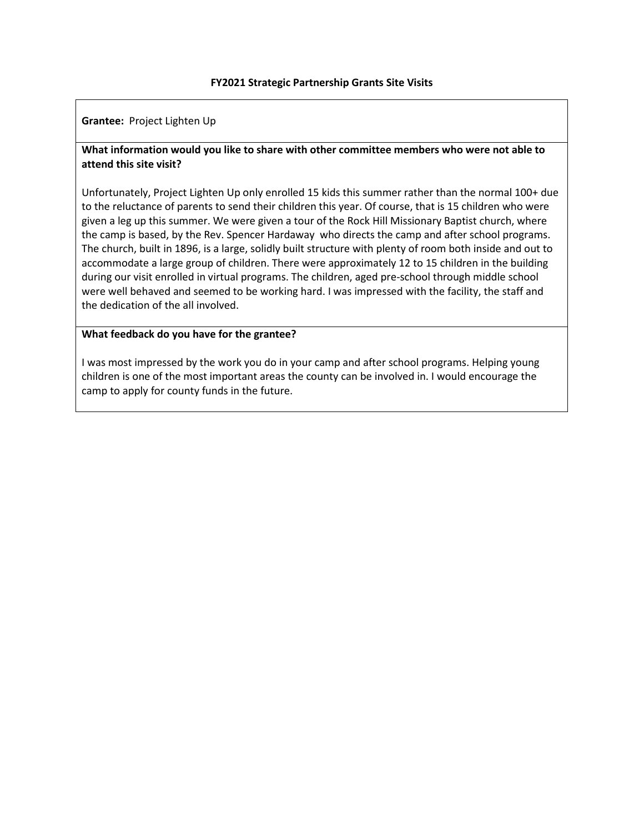**Grantee:** Project Lighten Up

# **What information would you like to share with other committee members who were not able to attend this site visit?**

Unfortunately, Project Lighten Up only enrolled 15 kids this summer rather than the normal 100+ due to the reluctance of parents to send their children this year. Of course, that is 15 children who were given a leg up this summer. We were given a tour of the Rock Hill Missionary Baptist church, where the camp is based, by the Rev. Spencer Hardaway who directs the camp and after school programs. The church, built in 1896, is a large, solidly built structure with plenty of room both inside and out to accommodate a large group of children. There were approximately 12 to 15 children in the building during our visit enrolled in virtual programs. The children, aged pre-school through middle school were well behaved and seemed to be working hard. I was impressed with the facility, the staff and the dedication of the all involved.

### **What feedback do you have for the grantee?**

I was most impressed by the work you do in your camp and after school programs. Helping young children is one of the most important areas the county can be involved in. I would encourage the camp to apply for county funds in the future.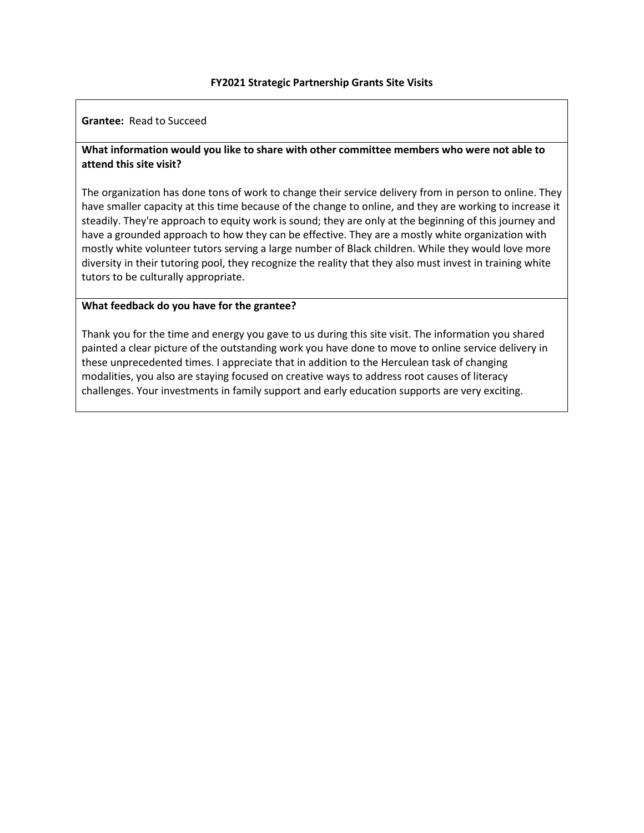### **Grantee:** Read to Succeed

# **What information would you like to share with other committee members who were not able to attend this site visit?**

The organization has done tons of work to change their service delivery from in person to online. They have smaller capacity at this time because of the change to online, and they are working to increase it steadily. They're approach to equity work is sound; they are only at the beginning of this journey and have a grounded approach to how they can be effective. They are a mostly white organization with mostly white volunteer tutors serving a large number of Black children. While they would love more diversity in their tutoring pool, they recognize the reality that they also must invest in training white tutors to be culturally appropriate.

### **What feedback do you have for the grantee?**

Thank you for the time and energy you gave to us during this site visit. The information you shared painted a clear picture of the outstanding work you have done to move to online service delivery in these unprecedented times. I appreciate that in addition to the Herculean task of changing modalities, you also are staying focused on creative ways to address root causes of literacy challenges. Your investments in family support and early education supports are very exciting.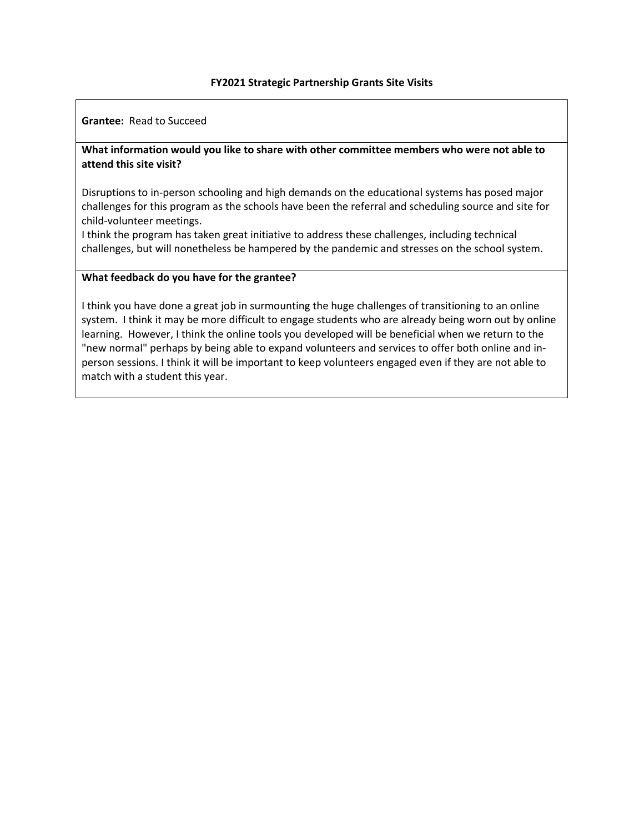**Grantee:** Read to Succeed

# **What information would you like to share with other committee members who were not able to attend this site visit?**

Disruptions to in-person schooling and high demands on the educational systems has posed major challenges for this program as the schools have been the referral and scheduling source and site for child-volunteer meetings.

I think the program has taken great initiative to address these challenges, including technical challenges, but will nonetheless be hampered by the pandemic and stresses on the school system.

### **What feedback do you have for the grantee?**

I think you have done a great job in surmounting the huge challenges of transitioning to an online system. I think it may be more difficult to engage students who are already being worn out by online learning. However, I think the online tools you developed will be beneficial when we return to the "new normal" perhaps by being able to expand volunteers and services to offer both online and inperson sessions. I think it will be important to keep volunteers engaged even if they are not able to match with a student this year.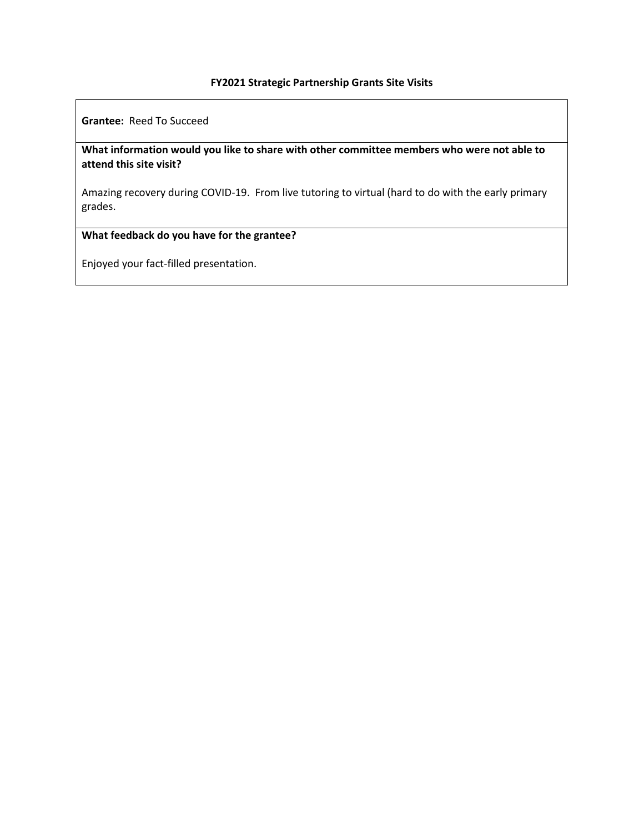**Grantee:** Reed To Succeed

**What information would you like to share with other committee members who were not able to attend this site visit?**

Amazing recovery during COVID-19. From live tutoring to virtual (hard to do with the early primary grades.

# **What feedback do you have for the grantee?**

Enjoyed your fact-filled presentation.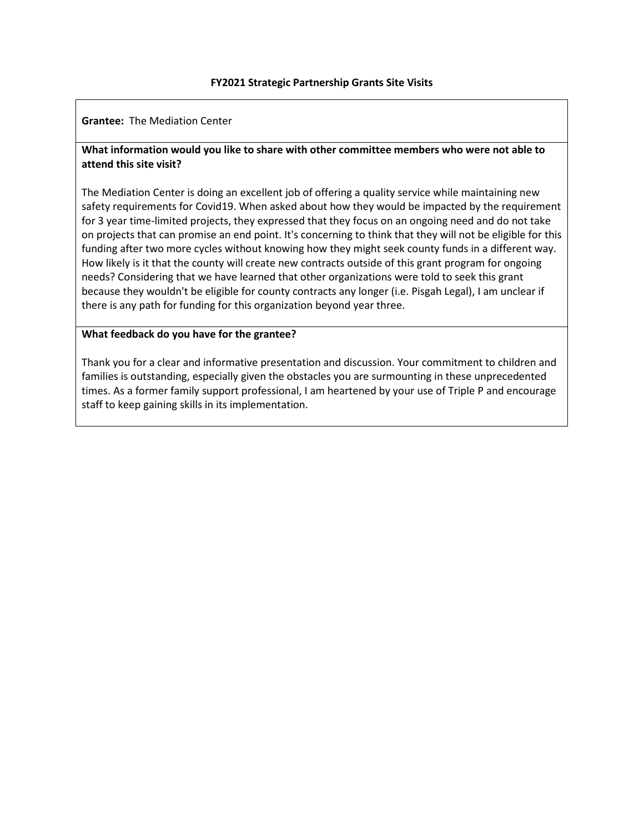**Grantee:** The Mediation Center

# **What information would you like to share with other committee members who were not able to attend this site visit?**

The Mediation Center is doing an excellent job of offering a quality service while maintaining new safety requirements for Covid19. When asked about how they would be impacted by the requirement for 3 year time-limited projects, they expressed that they focus on an ongoing need and do not take on projects that can promise an end point. It's concerning to think that they will not be eligible for this funding after two more cycles without knowing how they might seek county funds in a different way. How likely is it that the county will create new contracts outside of this grant program for ongoing needs? Considering that we have learned that other organizations were told to seek this grant because they wouldn't be eligible for county contracts any longer (i.e. Pisgah Legal), I am unclear if there is any path for funding for this organization beyond year three.

### **What feedback do you have for the grantee?**

Thank you for a clear and informative presentation and discussion. Your commitment to children and families is outstanding, especially given the obstacles you are surmounting in these unprecedented times. As a former family support professional, I am heartened by your use of Triple P and encourage staff to keep gaining skills in its implementation.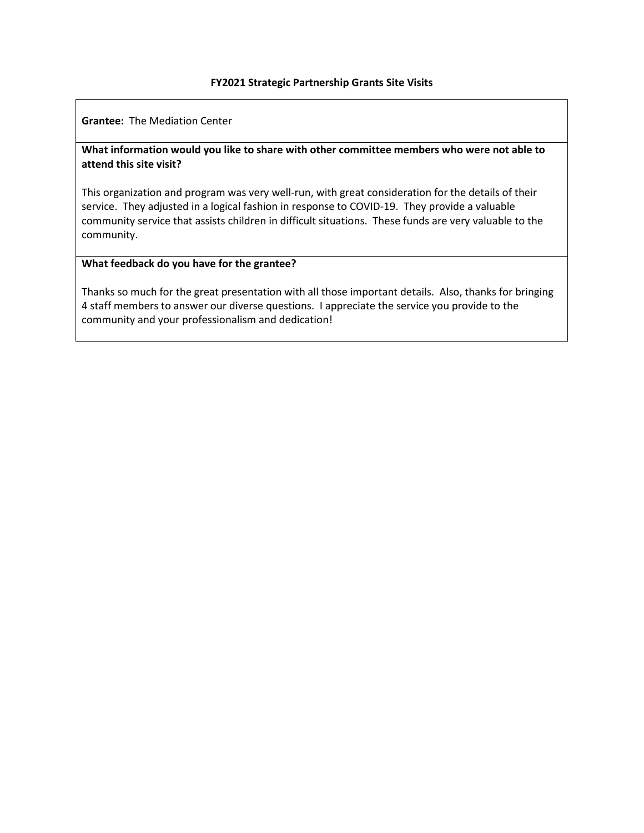**Grantee:** The Mediation Center

# **What information would you like to share with other committee members who were not able to attend this site visit?**

This organization and program was very well-run, with great consideration for the details of their service. They adjusted in a logical fashion in response to COVID-19. They provide a valuable community service that assists children in difficult situations. These funds are very valuable to the community.

### **What feedback do you have for the grantee?**

Thanks so much for the great presentation with all those important details. Also, thanks for bringing 4 staff members to answer our diverse questions. I appreciate the service you provide to the community and your professionalism and dedication!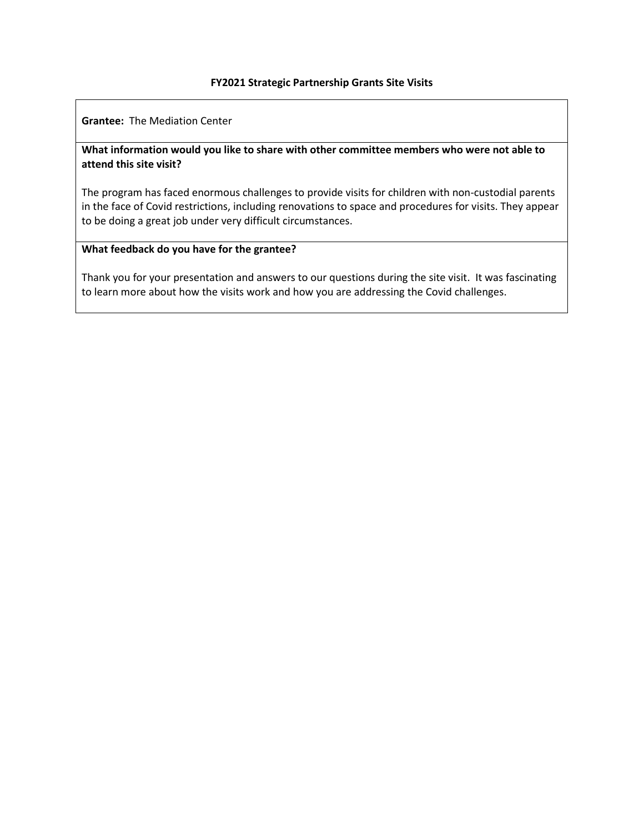**Grantee:** The Mediation Center

# **What information would you like to share with other committee members who were not able to attend this site visit?**

The program has faced enormous challenges to provide visits for children with non-custodial parents in the face of Covid restrictions, including renovations to space and procedures for visits. They appear to be doing a great job under very difficult circumstances.

# **What feedback do you have for the grantee?**

Thank you for your presentation and answers to our questions during the site visit. It was fascinating to learn more about how the visits work and how you are addressing the Covid challenges.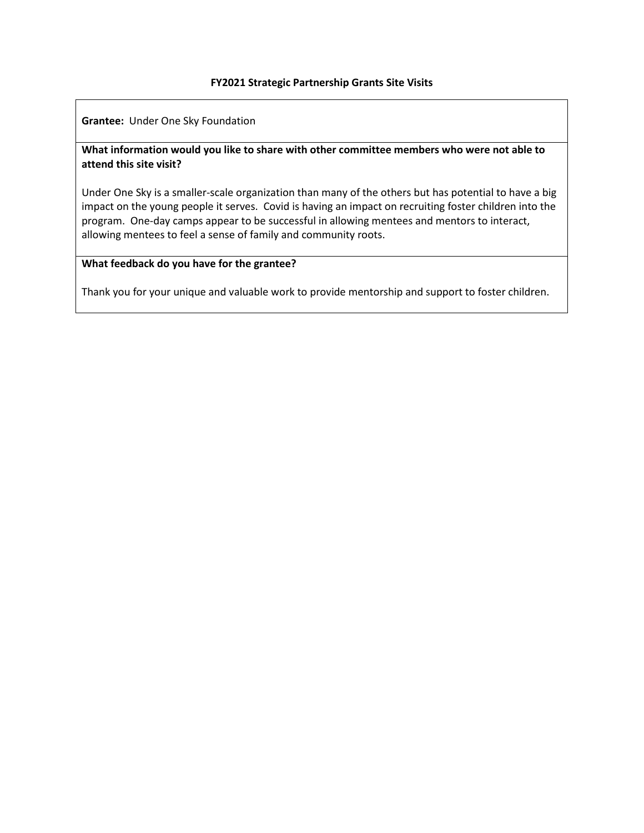**Grantee:** Under One Sky Foundation

# **What information would you like to share with other committee members who were not able to attend this site visit?**

Under One Sky is a smaller-scale organization than many of the others but has potential to have a big impact on the young people it serves. Covid is having an impact on recruiting foster children into the program. One-day camps appear to be successful in allowing mentees and mentors to interact, allowing mentees to feel a sense of family and community roots.

# **What feedback do you have for the grantee?**

Thank you for your unique and valuable work to provide mentorship and support to foster children.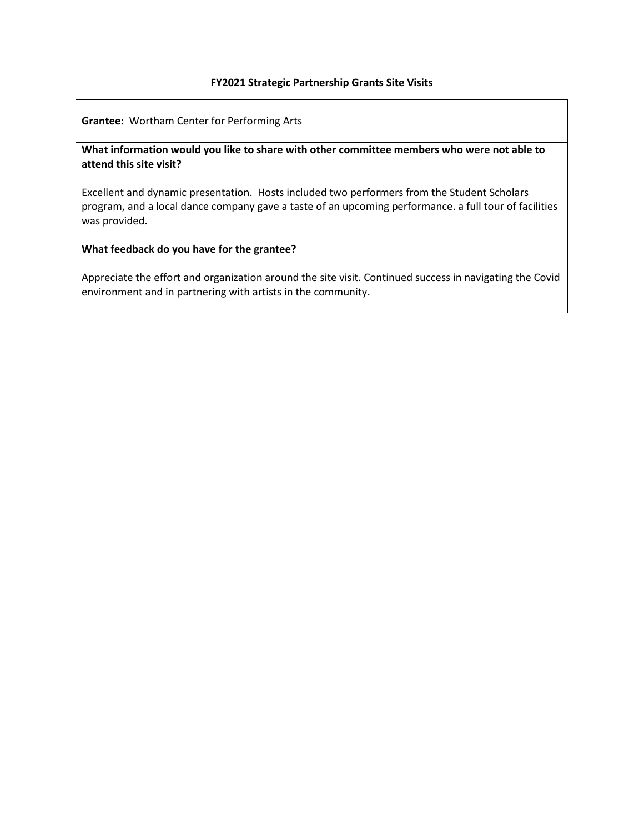**Grantee:** Wortham Center for Performing Arts

**What information would you like to share with other committee members who were not able to attend this site visit?**

Excellent and dynamic presentation. Hosts included two performers from the Student Scholars program, and a local dance company gave a taste of an upcoming performance. a full tour of facilities was provided.

# **What feedback do you have for the grantee?**

Appreciate the effort and organization around the site visit. Continued success in navigating the Covid environment and in partnering with artists in the community.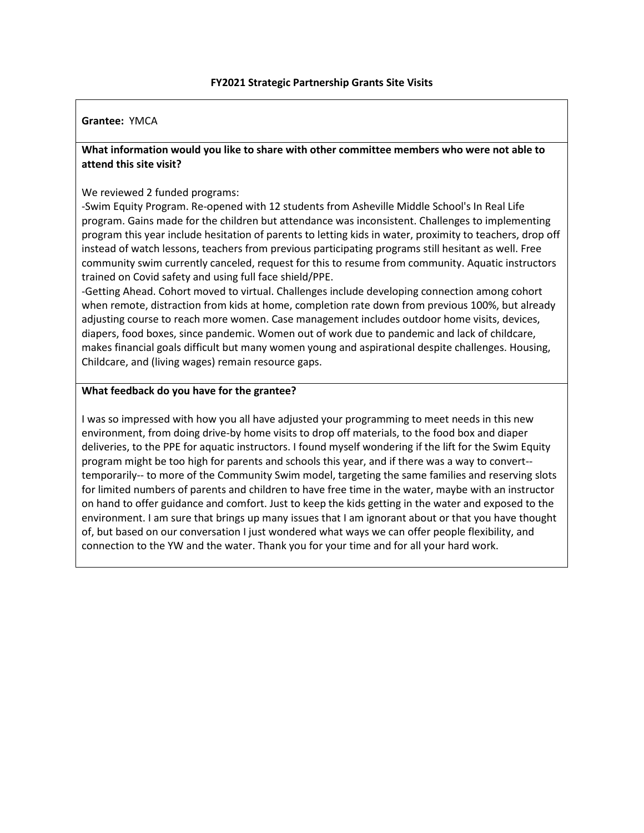### **Grantee:** YMCA

# **What information would you like to share with other committee members who were not able to attend this site visit?**

### We reviewed 2 funded programs:

-Swim Equity Program. Re-opened with 12 students from Asheville Middle School's In Real Life program. Gains made for the children but attendance was inconsistent. Challenges to implementing program this year include hesitation of parents to letting kids in water, proximity to teachers, drop off instead of watch lessons, teachers from previous participating programs still hesitant as well. Free community swim currently canceled, request for this to resume from community. Aquatic instructors trained on Covid safety and using full face shield/PPE.

-Getting Ahead. Cohort moved to virtual. Challenges include developing connection among cohort when remote, distraction from kids at home, completion rate down from previous 100%, but already adjusting course to reach more women. Case management includes outdoor home visits, devices, diapers, food boxes, since pandemic. Women out of work due to pandemic and lack of childcare, makes financial goals difficult but many women young and aspirational despite challenges. Housing, Childcare, and (living wages) remain resource gaps.

### **What feedback do you have for the grantee?**

I was so impressed with how you all have adjusted your programming to meet needs in this new environment, from doing drive-by home visits to drop off materials, to the food box and diaper deliveries, to the PPE for aquatic instructors. I found myself wondering if the lift for the Swim Equity program might be too high for parents and schools this year, and if there was a way to convert- temporarily-- to more of the Community Swim model, targeting the same families and reserving slots for limited numbers of parents and children to have free time in the water, maybe with an instructor on hand to offer guidance and comfort. Just to keep the kids getting in the water and exposed to the environment. I am sure that brings up many issues that I am ignorant about or that you have thought of, but based on our conversation I just wondered what ways we can offer people flexibility, and connection to the YW and the water. Thank you for your time and for all your hard work.